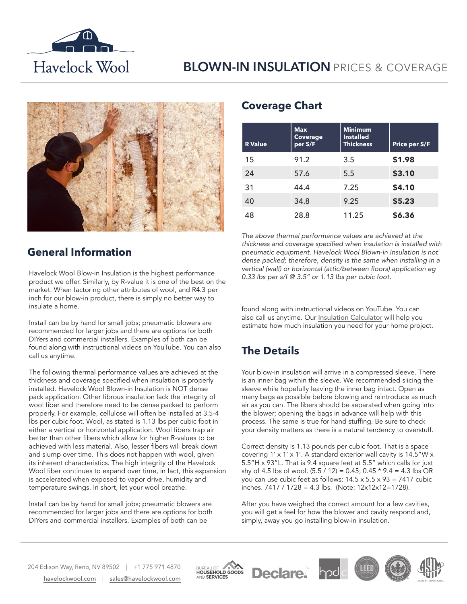

## **BLOWN-IN INSULATION** PRICES & COVERAGE



### **General Information**

Havelock Wool Blow-in Insulation is the highest performance product we offer. Similarly, by R-value it is one of the best on the market. When factoring other attributes of wool, and R4.3 per inch for our blow-in product, there is simply no better way to insulate a home.

Install can be by hand for small jobs; pneumatic blowers are recommended for larger jobs and there are options for both DIYers and commercial installers. Examples of both can be found along with instructional videos on YouTube. You can also call us anytime.

The following thermal performance values are achieved at the thickness and coverage specified when insulation is properly installed. Havelock Wool Blown-in Insulation is NOT dense pack application. Other fibrous insulation lack the integrity of wool fiber and therefore need to be dense packed to perform properly. For example, cellulose will often be installed at 3.5-4 lbs per cubic foot. Wool, as stated is 1.13 lbs per cubic foot in either a vertical or horizontal application. Wool fibers trap air better than other fibers which allow for higher R-values to be achieved with less material. Also, lesser fibers will break down and slump over time. This does not happen with wool, given its inherent characteristics. The high integrity of the Havelock Wool fiber continues to expand over time, in fact, this expansion is accelerated when exposed to vapor drive, humidity and temperature swings. In short, let your wool breathe.

Install can be by hand for small jobs; pneumatic blowers are recommended for larger jobs and there are options for both DIYers and commercial installers. Examples of both can be

#### **Coverage Chart**

| <b>R</b> Value | <b>Max</b><br>Coverage<br>per S/F | <b>Minimum</b><br><b>Installed</b><br><b>Thickness</b> | Price per S/F |
|----------------|-----------------------------------|--------------------------------------------------------|---------------|
| 15             | 91.2                              | 3.5                                                    | \$1.98        |
| 24             | 57.6                              | 5.5                                                    | \$3.10        |
| 31             | 44.4                              | 7.25                                                   | \$4.10        |
| 40             | 34.8                              | 9.25                                                   | \$5.23        |
| 48             | 28.8                              | 11.25                                                  | \$6.36        |

*The above thermal performance values are achieved at the*  thickness and coverage specified when insulation is installed with pneumatic equipment. Havelock Wool Blown-in Insulation is not dense packed; therefore, density is the same when installing in a vertical (wall) or horizontal (attic/between floors) application eg 0.33 lbs per s/f @ 3.5" or 1.13 lbs per cubic foot.

found along with instructional videos on YouTube. You can also call us anytime. Our [Insulation Calculator](https://havelockwool.com/insulation-calculator/) will help you estimate how much insulation you need for your home project.

## **The Details**

Your blow-in insulation will arrive in a compressed sleeve. There is an inner bag within the sleeve. We recommended slicing the sleeve while hopefully leaving the inner bag intact. Open as many bags as possible before blowing and reintroduce as much air as you can. The fibers should be separated when going into the blower; opening the bags in advance will help with this process. The same is true for hand stuffing. Be sure to check your density matters as there is a natural tendency to overstuff.

Correct density is 1.13 pounds per cubic foot. That is a space covering 1' x 1' x 1'. A standard exterior wall cavity is 14.5"W x 5.5"H x 93"L. That is 9.4 square feet at 5.5" which calls for just shy of 4.5 lbs of wool.  $(5.5 / 12) = 0.45$ ;  $0.45 * 9.4 = 4.3$  lbs OR you can use cubic feet as follows:  $14.5 \times 5.5 \times 93 = 7417$  cubic  $\frac{1}{2}$ inches. 7417 / 1728 = 4.3 lbs. (Note: 12x12x12=1728).

After you have weighed the correct amount for a few cavities, you will get a feel for how the blower and cavity respond and, simply, away you go installing blow-in insulation.